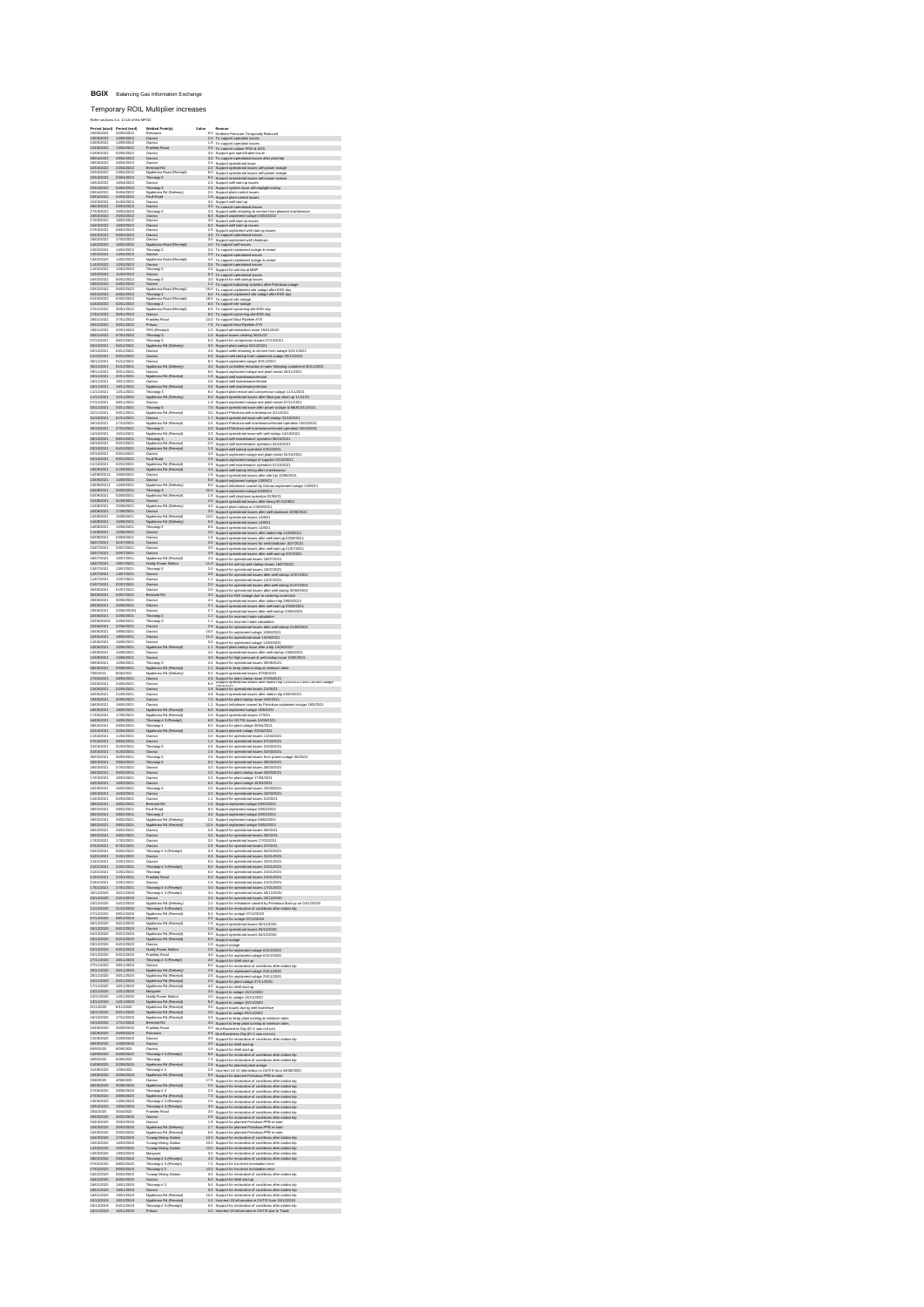## **BGIX** Balancing Gas Information Exchange

Temporary ROIL Multiplier increases

Refer sections 4.4, 12.18 of the MPOC

| .<br>Refers                                                                                                                                                                                                                                                                                                                                                                                     | ts 4.4. 12.18 of the MPOC                            |                                                                                                                                                                                          |                          |                                                                                                                                                                                                                                                                                                                                                                                                                                                                                              |
|-------------------------------------------------------------------------------------------------------------------------------------------------------------------------------------------------------------------------------------------------------------------------------------------------------------------------------------------------------------------------------------------------|------------------------------------------------------|------------------------------------------------------------------------------------------------------------------------------------------------------------------------------------------|--------------------------|----------------------------------------------------------------------------------------------------------------------------------------------------------------------------------------------------------------------------------------------------------------------------------------------------------------------------------------------------------------------------------------------------------------------------------------------------------------------------------------------|
| $\begin{array}{l} \textbf{R}^{(4)} \textbf{R}^{(4)} \textbf{R}^{(4)} \textbf{R}^{(4)} \textbf{R}^{(4)} \textbf{R}^{(4)} \textbf{R}^{(4)} \textbf{R}^{(4)} \textbf{R}^{(4)} \textbf{R}^{(4)} \textbf{R}^{(4)} \textbf{R}^{(4)} \textbf{R}^{(4)} \textbf{R}^{(4)} \textbf{R}^{(4)} \textbf{R}^{(4)} \textbf{R}^{(4)} \textbf{R}^{(4)} \textbf{R}^{(4)} \textbf{R}^{(4)} \textbf{R}^{(4)} \textbf$ |                                                      | Welded Point(s)<br>Rotowaro                                                                                                                                                              |                          |                                                                                                                                                                                                                                                                                                                                                                                                                                                                                              |
|                                                                                                                                                                                                                                                                                                                                                                                                 |                                                      |                                                                                                                                                                                          |                          |                                                                                                                                                                                                                                                                                                                                                                                                                                                                                              |
|                                                                                                                                                                                                                                                                                                                                                                                                 |                                                      | Hotowaro<br>Oaorxá<br>Oaorxá<br>Oaorxá<br>Oaorxá<br>Oaorxá                                                                                                                               |                          | Reason<br>20 Northern Pressure Temporally Reduced<br>20 To support powerion issues<br>1.5 To support operation issues<br>3.5 To support operation issues<br>3.0 S                                                                                                                                                                                                                                                                                                                            |
|                                                                                                                                                                                                                                                                                                                                                                                                 |                                                      |                                                                                                                                                                                          |                          |                                                                                                                                                                                                                                                                                                                                                                                                                                                                                              |
|                                                                                                                                                                                                                                                                                                                                                                                                 |                                                      |                                                                                                                                                                                          |                          |                                                                                                                                                                                                                                                                                                                                                                                                                                                                                              |
|                                                                                                                                                                                                                                                                                                                                                                                                 |                                                      | Oaorui<br>Bertrard Rd<br>Ngakirana Road (Receip)<br>TRosningi 3<br>Oaorui<br>Ngakirana Rd (Delivery)<br>Ngakirana Rd (Delivery)<br>Oaorui<br>art (Reneint)                               |                          | 3.5 To support that a specifically contained that $\frac{10.05}{2.0}$ (Support gas specifically in some<br>$\frac{10.05}{2.0}$ To support operational issues after the state of $2.0$ Support operational issues with prover solution<br>$2$                                                                                                                                                                                                                                                 |
|                                                                                                                                                                                                                                                                                                                                                                                                 |                                                      |                                                                                                                                                                                          |                          |                                                                                                                                                                                                                                                                                                                                                                                                                                                                                              |
|                                                                                                                                                                                                                                                                                                                                                                                                 |                                                      |                                                                                                                                                                                          | 25<br>20                 |                                                                                                                                                                                                                                                                                                                                                                                                                                                                                              |
|                                                                                                                                                                                                                                                                                                                                                                                                 |                                                      |                                                                                                                                                                                          | $\frac{1.5}{3.0}$        | Support plant control issues                                                                                                                                                                                                                                                                                                                                                                                                                                                                 |
|                                                                                                                                                                                                                                                                                                                                                                                                 |                                                      |                                                                                                                                                                                          | $rac{30}{30}$            | Support well start up<br>To support operational issues                                                                                                                                                                                                                                                                                                                                                                                                                                       |
|                                                                                                                                                                                                                                                                                                                                                                                                 |                                                      | ratan rosal<br>Olaorisi<br>Tikoriingi 3<br>Olaorisi<br>Olaorisi<br>Olaorisi                                                                                                              |                          | Support wells returning to service from planned mail<br>Support unplanned outside 23/03/2022                                                                                                                                                                                                                                                                                                                                                                                                 |
|                                                                                                                                                                                                                                                                                                                                                                                                 |                                                      |                                                                                                                                                                                          | 8.0<br>3.0<br>5.0        | Support well start up issues<br>Support well start up issues                                                                                                                                                                                                                                                                                                                                                                                                                                 |
|                                                                                                                                                                                                                                                                                                                                                                                                 |                                                      | Oacrui                                                                                                                                                                                   |                          | 2.5 Support urginimate metallical constitutions<br>3.5 To support urginimate well state up issues<br>4.0 To support metallical state uses<br>4.0 To support metallical<br>4.2 To support metallical state and 2.2 To support reglemented                                                                                                                                                                                                                                                     |
|                                                                                                                                                                                                                                                                                                                                                                                                 | 17/02/2022                                           | Qaoriui<br>Olacnus<br>Olacnus<br>Nguirimaru Road (Receipt)<br>Teorungi 2<br>Olacnus<br>Nguirimaru Road (Receipt)<br>Nguirus<br>Olacnus<br>Olacnus<br>Olacnus<br>Teorungi 3<br>Teorungi 3 |                          |                                                                                                                                                                                                                                                                                                                                                                                                                                                                                              |
| $\begin{array}{l} 16027022\\ 18027022\\ 19027022\\ 19027022\\ 19027022\\ 19027022\\ 19027022\\ 19027022\\ 110227022\\ 110227022\\ 19027022\\ 290127022\\ 290127022\\ 290127022\\ 290127022\\ 290112022\\ 290112022\\ 290112022\\ 290112022\\ 290112022\\ 2$                                                                                                                                     | 15/02/2022<br>14/02/2022                             |                                                                                                                                                                                          |                          |                                                                                                                                                                                                                                                                                                                                                                                                                                                                                              |
|                                                                                                                                                                                                                                                                                                                                                                                                 | 14/02/2022<br>14/02/2022<br>14/02/2022<br>12/02/2022 |                                                                                                                                                                                          |                          |                                                                                                                                                                                                                                                                                                                                                                                                                                                                                              |
|                                                                                                                                                                                                                                                                                                                                                                                                 |                                                      |                                                                                                                                                                                          |                          |                                                                                                                                                                                                                                                                                                                                                                                                                                                                                              |
|                                                                                                                                                                                                                                                                                                                                                                                                 | 11/02/2022                                           |                                                                                                                                                                                          |                          | Support for unit trip at MMP<br>To support operational issues<br>u- 112 Kipport operatorul issues<br>130 Supone for well stands<br>12 To support builencing activities after Pohokura oda<br>150 To support urplaneerd sile cutings after ESD day<br>150 To support urplaneerd sile cutings after ESD day<br>                                                                                                                                                                                |
|                                                                                                                                                                                                                                                                                                                                                                                                 | 05/02/2022<br>04/02/2022<br>06/02/2022               | Ciaonui<br>Titonungi 3<br>Olaonui<br>Ngutimaru Road (Receipt)<br>Ngutimaru Road (Receipt)<br>Ngutimaru Road (Receipt)<br>Ngutimaru Road (Receipt)<br>Ngutimaru Road (Receipt)            |                          |                                                                                                                                                                                                                                                                                                                                                                                                                                                                                              |
|                                                                                                                                                                                                                                                                                                                                                                                                 |                                                      |                                                                                                                                                                                          |                          |                                                                                                                                                                                                                                                                                                                                                                                                                                                                                              |
|                                                                                                                                                                                                                                                                                                                                                                                                 |                                                      |                                                                                                                                                                                          |                          |                                                                                                                                                                                                                                                                                                                                                                                                                                                                                              |
|                                                                                                                                                                                                                                                                                                                                                                                                 | 03/02/2022<br>03/02/2022<br>02/02/2022<br>02/01/2022 |                                                                                                                                                                                          |                          |                                                                                                                                                                                                                                                                                                                                                                                                                                                                                              |
|                                                                                                                                                                                                                                                                                                                                                                                                 | 30/01/2022<br>27/01/2022                             | Oacrui                                                                                                                                                                                   | 13.0                     | 6.0 To support upcoming site ESD day<br>6.0 To support upcoming site ESD day<br>6.0 To support Maxi Pipeline ATS<br>7.5 To support Maxi Pipeline ATS                                                                                                                                                                                                                                                                                                                                         |
|                                                                                                                                                                                                                                                                                                                                                                                                 | 26/01/2022                                           | Frankley Road<br>Pokuru<br>TRS (Receipt)                                                                                                                                                 |                          |                                                                                                                                                                                                                                                                                                                                                                                                                                                                                              |
|                                                                                                                                                                                                                                                                                                                                                                                                 | 20/01/2022<br>07/01/2022                             | Tikorangi 3                                                                                                                                                                              |                          | 73 Tos ausport Main Piesieries ATS<br>173 Tos ausport Main Piesieries ATS<br>10 Suspect alevet modern (as 1901/2022)<br>10 Suspect piesier alevet (as 1901/2021)<br>13 Suspect piesie alevet (as 1902/2021)<br>13 Suspect mode alevet (                                                                                                                                                                                                                                                      |
|                                                                                                                                                                                                                                                                                                                                                                                                 | 08/12/2021                                           |                                                                                                                                                                                          |                          |                                                                                                                                                                                                                                                                                                                                                                                                                                                                                              |
|                                                                                                                                                                                                                                                                                                                                                                                                 | 08/12/2021<br>08/12/2021                             | acrizi                                                                                                                                                                                   |                          |                                                                                                                                                                                                                                                                                                                                                                                                                                                                                              |
|                                                                                                                                                                                                                                                                                                                                                                                                 | 02/12/2021<br>01/12/2021                             | Oacrui                                                                                                                                                                                   |                          |                                                                                                                                                                                                                                                                                                                                                                                                                                                                                              |
|                                                                                                                                                                                                                                                                                                                                                                                                 | 01/12/2021                                           | Ngatimaru Rd (Dalivary)                                                                                                                                                                  |                          | int 30/11/2021                                                                                                                                                                                                                                                                                                                                                                                                                                                                               |
|                                                                                                                                                                                                                                                                                                                                                                                                 | 30/11/2021<br>20/11/2021                             | Oacrui<br>Ngatimanu Rd (Receipt)                                                                                                                                                         |                          |                                                                                                                                                                                                                                                                                                                                                                                                                                                                                              |
|                                                                                                                                                                                                                                                                                                                                                                                                 | 19/11/2021<br>19/11/2021<br>12/11/2021               |                                                                                                                                                                                          |                          |                                                                                                                                                                                                                                                                                                                                                                                                                                                                                              |
| 10111221<br>101112221<br>101112221<br>101112221<br>101112221<br>1011112221<br>1011112221<br>1111122221<br>201111112221<br>2021122221<br>2021122221<br>2021122221<br>14102221                                                                                                                                                                                                                    |                                                      | Cacrus<br>Ngatiman: Rd (Racaipt)<br>Titorangi 3<br>Ngatiman: Rd (Dalvary)<br>Oacrus                                                                                                      |                          | 15 Super and memorantshands<br>25 Super and memorantshands<br>25 Super and memorantshands<br>25 Super and memorantshands<br>26 Super aperture and memorants and parts (191.021)<br>26 Super aperture and memorants and parts (191.021)<br>                                                                                                                                                                                                                                                   |
|                                                                                                                                                                                                                                                                                                                                                                                                 | 12/11/2021<br>12/11/2021<br>08/11/2021               | Tikorangi 3                                                                                                                                                                              |                          |                                                                                                                                                                                                                                                                                                                                                                                                                                                                                              |
|                                                                                                                                                                                                                                                                                                                                                                                                 | 03/11/2021<br>03/11/2021                             |                                                                                                                                                                                          |                          |                                                                                                                                                                                                                                                                                                                                                                                                                                                                                              |
|                                                                                                                                                                                                                                                                                                                                                                                                 | 01/11/2021                                           |                                                                                                                                                                                          |                          |                                                                                                                                                                                                                                                                                                                                                                                                                                                                                              |
|                                                                                                                                                                                                                                                                                                                                                                                                 | 27/10/2021<br>27/10/2021                             | .<br>Ngườnaru Rd (Receipt)<br>Tikorangi 2                                                                                                                                                |                          |                                                                                                                                                                                                                                                                                                                                                                                                                                                                                              |
|                                                                                                                                                                                                                                                                                                                                                                                                 | 15/10/2021                                           | .<br>Rd (Receipt)<br>-<br>Ngườnaru n.c.<br>Tikorángi 3<br>Ngườnaru Rd (Receipt)<br>-- anu Rd (Receipt)                                                                                   |                          |                                                                                                                                                                                                                                                                                                                                                                                                                                                                                              |
|                                                                                                                                                                                                                                                                                                                                                                                                 | 08/10/2021<br>08/10/2021<br>04/10/2021               | Ngatimaru Rd (Receipt)<br>Ngatimaru Rd (Receipt)                                                                                                                                         |                          |                                                                                                                                                                                                                                                                                                                                                                                                                                                                                              |
|                                                                                                                                                                                                                                                                                                                                                                                                 | manner                                               |                                                                                                                                                                                          |                          |                                                                                                                                                                                                                                                                                                                                                                                                                                                                                              |
| 02/10/2021<br>02/10/2021<br>01/10/2021                                                                                                                                                                                                                                                                                                                                                          | 03/10/2021<br>03/10/2021                             | County<br>Fault Road<br>Ngatimanu Rd (Receipt)<br>Ngatimanu Rd (Receipt)                                                                                                                 |                          | 4.0 Support urplanned outlage and plant nester 02/10/2021<br>$2.0$ Support urplanned outlage of supplier 02/10/2021<br>$2.5$ Support urplanned outlage of supplier 02/10/2021<br>$4.0$ Support well startup timing after maintenance                                                                                                                                                                                                                                                         |
|                                                                                                                                                                                                                                                                                                                                                                                                 | 21/09/2021<br>15/09/2021                             |                                                                                                                                                                                          |                          |                                                                                                                                                                                                                                                                                                                                                                                                                                                                                              |
|                                                                                                                                                                                                                                                                                                                                                                                                 | 14/09/2021<br>14/09/2021                             |                                                                                                                                                                                          | 5.0                      |                                                                                                                                                                                                                                                                                                                                                                                                                                                                                              |
| 01/102021<br>19/09/2021<br>14/09/2021<br>13/09/2021<br>13/09/2021                                                                                                                                                                                                                                                                                                                               | 05/09/2021                                           | Oacrui<br>Oacrui<br>Ngatimaru Rd (Dalivery)<br>TRorangi 3                                                                                                                                | 10.0                     | Support oversimest issues after site trip 13/09/2021<br>Support urplemed outlege 13/09/21<br>Support urplemed outlege 13/09/21<br>Support urplemed outlege 04/09/21<br>Support urplemed outlege 04/09/21                                                                                                                                                                                                                                                                                     |
|                                                                                                                                                                                                                                                                                                                                                                                                 | 03/09/2021                                           | Ngatimaru Rd (Receipt)                                                                                                                                                                   |                          |                                                                                                                                                                                                                                                                                                                                                                                                                                                                                              |
|                                                                                                                                                                                                                                                                                                                                                                                                 | 31/08/2021<br>25/08/2021<br>17/08/2021               | Olaonsi<br>Ngatimaru Rd (Dalivery)<br>Olaonsi                                                                                                                                            |                          |                                                                                                                                                                                                                                                                                                                                                                                                                                                                                              |
| 04/09/2021<br>02/09/2021<br>31/08/2021<br>21/08/2021<br>14/08/2021<br>14/08/2021<br>11/08/2021<br>11/08/2021                                                                                                                                                                                                                                                                                    | 15/08/2021                                           | Ngatimaru Rd (Receipt)                                                                                                                                                                   | 14.0                     |                                                                                                                                                                                                                                                                                                                                                                                                                                                                                              |
|                                                                                                                                                                                                                                                                                                                                                                                                 | 15/08/2021                                           | Ngatimaru Rd (Dalivary)<br>Tikorangi 2                                                                                                                                                   | 55                       | Support operational issues 14/8/21<br>Support operational issues 14/8/21<br>Support operational issues 14/8/21<br>Support operational issues after station trip 11/08/2021                                                                                                                                                                                                                                                                                                                   |
|                                                                                                                                                                                                                                                                                                                                                                                                 | 15/08/2021<br>15/08/2021                             | Tikorsingi 2<br>Olaonul<br>Olaonul                                                                                                                                                       | 3.0                      |                                                                                                                                                                                                                                                                                                                                                                                                                                                                                              |
|                                                                                                                                                                                                                                                                                                                                                                                                 | 03/08/2021<br>31/07/2021                             | Oacrui<br>Qaoriui                                                                                                                                                                        |                          |                                                                                                                                                                                                                                                                                                                                                                                                                                                                                              |
| 02/08/2021<br>30/07/2021<br>21/07/2021<br>20/07/2021                                                                                                                                                                                                                                                                                                                                            | 22/07/2021<br>20/07/2021                             | Oaorraí<br>Oaorraí                                                                                                                                                                       |                          | $-1.5$ Support operational issues after well start up 02/08/2021<br>$-3.0$ Support operational issues for well shutdown $-30772021$<br>$-3.0$ Support operational issues after well shutdown $-30772021$<br>$-4.5$ Support operational                                                                                                                                                                                                                                                       |
|                                                                                                                                                                                                                                                                                                                                                                                                 | 19/07/2021                                           | Ngatimaru Rd (Receipt)                                                                                                                                                                   |                          |                                                                                                                                                                                                                                                                                                                                                                                                                                                                                              |
|                                                                                                                                                                                                                                                                                                                                                                                                 | 19/07/2021                                           | Huntly Power Station<br>Tikorangi 3<br>Oacnui                                                                                                                                            | 11.0                     |                                                                                                                                                                                                                                                                                                                                                                                                                                                                                              |
|                                                                                                                                                                                                                                                                                                                                                                                                 | 13/07/2021<br>13/07/2021                             |                                                                                                                                                                                          |                          |                                                                                                                                                                                                                                                                                                                                                                                                                                                                                              |
|                                                                                                                                                                                                                                                                                                                                                                                                 | 12/07/2021<br>02/07/2021                             | Oacrui<br>Oacrui                                                                                                                                                                         |                          |                                                                                                                                                                                                                                                                                                                                                                                                                                                                                              |
| 2007/2021<br>1807/2021<br>1807/2021<br>1307/2021<br>1107/2021<br>01/07/2021<br>30/06/2021<br>30/06/2021<br>30/06/2021                                                                                                                                                                                                                                                                           | 01/07/2021<br>01/07/2021                             | Cleven.<br>Oacrui<br>Bertrand Rd                                                                                                                                                         |                          |                                                                                                                                                                                                                                                                                                                                                                                                                                                                                              |
|                                                                                                                                                                                                                                                                                                                                                                                                 | 30/06/2021                                           | Oacrui                                                                                                                                                                                   |                          |                                                                                                                                                                                                                                                                                                                                                                                                                                                                                              |
| $\begin{smallmatrix} 240670201 \\ 230670201 \\ 2306702021 \\ 2306702021 \\ 2306702021 \\ 230670201 \\ 230670201 \\ 23067021 \\ 23067021 \\ 23067021 \\ 23067021 \\ 23067021 \\ 23067021 \\ 23067021 \\ 23067021 \\ 23067021 \\ 23067021 \\ 23067021 \\ 23067021 \\ 23067021 \\ 230$                                                                                                             | 26/06/2021<br>23/06/20201<br>23/06/20201             | Qaprui<br>owona<br>Oacrui<br>Tikonangi 2                                                                                                                                                 |                          | 45 Sepport operation<br>framework linears after an anti-star (20/7/2021)<br>$2.9$ Sepport for operational linears 10.07/2021<br>$2.9$ Sepport for operational linears 10.07/2021<br>$2.13$ Sepport for operational linears 10.07/2021<br>$2.$                                                                                                                                                                                                                                                |
|                                                                                                                                                                                                                                                                                                                                                                                                 | 22/06/2021                                           | Tikorangi 3                                                                                                                                                                              |                          |                                                                                                                                                                                                                                                                                                                                                                                                                                                                                              |
|                                                                                                                                                                                                                                                                                                                                                                                                 | 22/06/2021<br>19/06/2021                             | Oaonui<br>Oaonui                                                                                                                                                                         | $\frac{28}{10.0}$        | Support for incorrect trade calculation<br>Support for operational issues after well startup 21/06/2021<br>Support for urplement outage 18/06/2021<br>Support for operational issue 15/06/2021                                                                                                                                                                                                                                                                                               |
|                                                                                                                                                                                                                                                                                                                                                                                                 | 18/06/2021                                           | Oaorrui                                                                                                                                                                                  | 11.0                     |                                                                                                                                                                                                                                                                                                                                                                                                                                                                                              |
|                                                                                                                                                                                                                                                                                                                                                                                                 | 15/06/2021<br>15/08/2021                             | Oaorrui<br>Ngatimanu Rd (Raceipt)                                                                                                                                                        | 3.0<br>1.1               | Support for unplanned outage 14/08/2021<br>Support plant startup issue after a trip 14/08/2021<br>Support operational issues after well startup 13/08/2021<br>Support for high pressure & well startup issue 12/08/2021                                                                                                                                                                                                                                                                      |
|                                                                                                                                                                                                                                                                                                                                                                                                 | 14/06/2021                                           | ö                                                                                                                                                                                        | 4ń                       |                                                                                                                                                                                                                                                                                                                                                                                                                                                                                              |
|                                                                                                                                                                                                                                                                                                                                                                                                 | 13/06/2021<br>13/06/2021<br>10/06/2021               | Qaonui<br>Tikoran<br>Tikorangi 3<br>Ngatimaru Rd (Receipt)                                                                                                                               | $\frac{3.0}{2.5}$        |                                                                                                                                                                                                                                                                                                                                                                                                                                                                                              |
|                                                                                                                                                                                                                                                                                                                                                                                                 | 09/06/2021<br>8/06/2021                              | aru Rd (Daliy                                                                                                                                                                            | 2.1<br>ĸ.                | Support for operational issues 09.062021<br>Support to keep plant running at minimum rat<br>Support operational issues 07.062021                                                                                                                                                                                                                                                                                                                                                             |
|                                                                                                                                                                                                                                                                                                                                                                                                 | 28/05/2021<br>28/05/2021                             | Ngatima<br>Oaonul                                                                                                                                                                        |                          | 2.5 Support for plant startup issue 27/05/2021<br>5.0 Support operatories rations arear station trip zzionizzozi and commis outage                                                                                                                                                                                                                                                                                                                                                           |
|                                                                                                                                                                                                                                                                                                                                                                                                 | 22/05/2021                                           | Oacrui                                                                                                                                                                                   |                          | $\frac{1.0}{2.3}$ Support of spanishond issues at DSD21<br>$\frac{2.3}{2.3}$ Support for operational issues 37.05221<br>$\frac{2.3}{2.3}$ Support for operational issues after any constraint in the space of the state state. In<br>1.7<br>$\frac{2$                                                                                                                                                                                                                                        |
|                                                                                                                                                                                                                                                                                                                                                                                                 | 21/05/2021<br>20/05/2021                             | $\sim$                                                                                                                                                                                   |                          |                                                                                                                                                                                                                                                                                                                                                                                                                                                                                              |
|                                                                                                                                                                                                                                                                                                                                                                                                 | 19/05/2021                                           | Qaprızi<br>Qaprızi                                                                                                                                                                       |                          |                                                                                                                                                                                                                                                                                                                                                                                                                                                                                              |
|                                                                                                                                                                                                                                                                                                                                                                                                 | 18/05/2021<br>17/05/2021                             | Ngatimaru Rd (Receipt)                                                                                                                                                                   |                          |                                                                                                                                                                                                                                                                                                                                                                                                                                                                                              |
|                                                                                                                                                                                                                                                                                                                                                                                                 | 16/05/2021<br>16/05/2021<br>29/04/2021               | Ngatimaru Rd (Receipt)<br>Tikorangi # 3 (Receipt)                                                                                                                                        |                          |                                                                                                                                                                                                                                                                                                                                                                                                                                                                                              |
|                                                                                                                                                                                                                                                                                                                                                                                                 |                                                      | Tikorangi 1<br>Ngatimaru Rd (Receipt)                                                                                                                                                    |                          |                                                                                                                                                                                                                                                                                                                                                                                                                                                                                              |
|                                                                                                                                                                                                                                                                                                                                                                                                 | 11/04/2021<br>08/04/2021                             | ö                                                                                                                                                                                        | 30                       | Support for operational issues 11/04/2021<br>Support for operational issues 07/04/2021<br>Support for operational issues 31/03/2021<br>Support for operational issues 31/03/2021                                                                                                                                                                                                                                                                                                             |
|                                                                                                                                                                                                                                                                                                                                                                                                 | 31/03/2021<br>31/03/2021                             | Qaonui<br>Tikoran<br>orangi 3<br>Oacrui                                                                                                                                                  | $\frac{1.2}{2.5}$<br>1.5 |                                                                                                                                                                                                                                                                                                                                                                                                                                                                                              |
|                                                                                                                                                                                                                                                                                                                                                                                                 | 30/03/202                                            |                                                                                                                                                                                          |                          |                                                                                                                                                                                                                                                                                                                                                                                                                                                                                              |
|                                                                                                                                                                                                                                                                                                                                                                                                 | 29/03/2021<br>27/03/2021<br>27/03/2021               | Tikorangi 3<br>Tikorangi 3<br>Oaorui<br>Oaorui                                                                                                                                           |                          | 1.3 Support for operational issues from power<br>3.5 Support for operational issues 28/03/2021<br>3.0 Support for operational issues 28/03/2021<br>2.0 Support for plant startup issue 25/03/2021                                                                                                                                                                                                                                                                                            |
|                                                                                                                                                                                                                                                                                                                                                                                                 | 18/03/2021                                           | Oacrui                                                                                                                                                                                   | 20                       |                                                                                                                                                                                                                                                                                                                                                                                                                                                                                              |
| 25032021<br>17/032021<br>16/032021<br>15/032021<br>01/032021                                                                                                                                                                                                                                                                                                                                    | 16032021                                             | Qaoriui                                                                                                                                                                                  | 5.0                      | Support for plant outage 17/03/2021<br>Support for plant outage 18/03/2021<br>Support for operational issues 15/03/2021<br>Support for operational issues 15/03/2021                                                                                                                                                                                                                                                                                                                         |
|                                                                                                                                                                                                                                                                                                                                                                                                 | 503/202<br>15/03/2021                                | Tikorsingi 3<br>Oaonui                                                                                                                                                                   | 20                       |                                                                                                                                                                                                                                                                                                                                                                                                                                                                                              |
|                                                                                                                                                                                                                                                                                                                                                                                                 | 02/03/2021<br>28/02/2021                             | Oacrui<br><b>Bertrand Rd</b>                                                                                                                                                             |                          | 1.1 Support for operational issues 01/03/21<br>1.5 Support urplanned outage 28/02/2021<br>2.0 Support urplanned outage 28/02/2021                                                                                                                                                                                                                                                                                                                                                            |
| -<br>2802/2021<br>2802/2021                                                                                                                                                                                                                                                                                                                                                                     |                                                      | Faull Ros                                                                                                                                                                                |                          |                                                                                                                                                                                                                                                                                                                                                                                                                                                                                              |
|                                                                                                                                                                                                                                                                                                                                                                                                 | 8/02/2021<br>28/02/2021                              | Tikorangi 2<br>Ngatimaru Rd (Dalivery)                                                                                                                                                   |                          | 3.0 Support urplanned outage 28/02/2021                                                                                                                                                                                                                                                                                                                                                                                                                                                      |
| 28/02/2021<br>28/02/2021<br>28/02/2021<br>25/02/2021                                                                                                                                                                                                                                                                                                                                            | 28/02/2021                                           | Ngatimanu Rd (Receipt)<br>Oaonui                                                                                                                                                         |                          | 2.0 Support urplanned outage 28/02/2021<br>12.5 Support urplanned outage 28/02/2021                                                                                                                                                                                                                                                                                                                                                                                                          |
|                                                                                                                                                                                                                                                                                                                                                                                                 | 26/02/2021                                           | Oacrui                                                                                                                                                                                   |                          | 0.6 Support for operational issues 26/02/21<br>3.0 Support for operational issues 25/02/21                                                                                                                                                                                                                                                                                                                                                                                                   |
| 17/02/2021<br>07/02/2021                                                                                                                                                                                                                                                                                                                                                                        | 17/02/2021<br>07/02/2021                             | Oacrui<br>Qaprui                                                                                                                                                                         |                          | $\begin{array}{ll} 3.0 & \text{Suppot operation} \text{ is a non-17/02/021} \\ 2.5 & \text{Suppot for centroid is a on 17/02/221} \\ 2.5 & \text{Supcorf for conventional is a on 07/02/21} \\ 3.3 & \text{Supcorf for conventional is a on 04/02/021} \\ 0.5 & \text{Supcorf for conventional is a on 31/01/2021} \end{array}$                                                                                                                                                              |
| 0402/2021<br>31/01/2021                                                                                                                                                                                                                                                                                                                                                                         | 05/02/2021<br>05/02/2021                             | Tikorangi # 3 (Rece<br>Oaorxal                                                                                                                                                           |                          |                                                                                                                                                                                                                                                                                                                                                                                                                                                                                              |
|                                                                                                                                                                                                                                                                                                                                                                                                 | 22/01/2021                                           | Oacrui                                                                                                                                                                                   |                          |                                                                                                                                                                                                                                                                                                                                                                                                                                                                                              |
| 21/01/2021<br>21/01/2021<br>21/01/2021<br>21/01/2021                                                                                                                                                                                                                                                                                                                                            | 22/01/2021                                           | Tikorangi # 3 (Receipt)<br>Tikorangi<br>Frankley Road                                                                                                                                    |                          |                                                                                                                                                                                                                                                                                                                                                                                                                                                                                              |
|                                                                                                                                                                                                                                                                                                                                                                                                 | 22/01/2021<br>22/01/2021                             |                                                                                                                                                                                          |                          |                                                                                                                                                                                                                                                                                                                                                                                                                                                                                              |
|                                                                                                                                                                                                                                                                                                                                                                                                 | 22/01/2021<br>17/01/2021                             | Oacrui                                                                                                                                                                                   | 1.5                      | Support for operational issues 21/01/2021                                                                                                                                                                                                                                                                                                                                                                                                                                                    |
| ========<br>21/01/2021<br>17/01/2021<br>28/12/2020                                                                                                                                                                                                                                                                                                                                              | 26/12/2020<br>24/12/2020                             | Tikorangi # 3 (Receipt)<br>Tikorangi # 3 (Receipt)<br>Qaorui                                                                                                                             |                          | 3.0 Support for operational issues 17.01/2021<br>3.0 Support for operational issues 17.01/2021<br>2.0 Support for operational issues 23/12/2020                                                                                                                                                                                                                                                                                                                                              |
|                                                                                                                                                                                                                                                                                                                                                                                                 | 24/12/2020<br>21/12/2020                             |                                                                                                                                                                                          | 2.0                      | Support for Imbalance caused by Pohokura Start-up on 04/12/2020<br>ris after station trip                                                                                                                                                                                                                                                                                                                                                                                                    |
|                                                                                                                                                                                                                                                                                                                                                                                                 |                                                      | Ngatimaru Rd (Dalivery)<br>Tikorangi # 3 (Receipt)<br>Ngatimaru Rd (Receipt)<br>Oaorra                                                                                                   |                          | $2.0$ Support for restoration of condition<br>$5.0$ Support for outage $07/12/2020$<br>$2.0$ Support for outage $07/12/2020$                                                                                                                                                                                                                                                                                                                                                                 |
| 23/12/2020<br>23/12/2020<br>21/12/2020<br>07/12/2020<br>05/12/2020<br>05/12/2020                                                                                                                                                                                                                                                                                                                | 08/12/2020<br>08/12/2020<br>08/12/2020               | maru Rd (Receipt)                                                                                                                                                                        |                          | Support operational issues 05/12/2020                                                                                                                                                                                                                                                                                                                                                                                                                                                        |
|                                                                                                                                                                                                                                                                                                                                                                                                 | 06/12/2020<br>05/12/2020                             | Qaprui                                                                                                                                                                                   |                          |                                                                                                                                                                                                                                                                                                                                                                                                                                                                                              |
| 04/12/2020<br>03/12/2020                                                                                                                                                                                                                                                                                                                                                                        | 04/12/2020                                           | Ngatimaru Rd (Receipt)<br>Ngatimaru Rd (Receipt)                                                                                                                                         |                          | 1.5 Support operational issues 05/12/2020<br>5.0 Support operational issues 04/12/2020<br>5.0 Support outage                                                                                                                                                                                                                                                                                                                                                                                 |
| 03/12/2020<br>02/12/2020                                                                                                                                                                                                                                                                                                                                                                        | 1/12/2020<br>03/12/2020                              | Oacrui<br>Huntly Power Station                                                                                                                                                           |                          | Support outses                                                                                                                                                                                                                                                                                                                                                                                                                                                                               |
| 02/12/2020                                                                                                                                                                                                                                                                                                                                                                                      | musenan                                              | -<br>Frankley Road<br>Tikorangi # 3 (Receipt)                                                                                                                                            |                          | 20 Support for urplanned outage 02/12/2020<br>20 Support for urplanned outage 02/12/2020<br>40 Support for Well start up                                                                                                                                                                                                                                                                                                                                                                     |
| 02122020<br>27/11/2020<br>27/11/2020                                                                                                                                                                                                                                                                                                                                                            | 28/11/2020<br>28/11/2020                             |                                                                                                                                                                                          |                          | Support for restoration of conditions after station trip                                                                                                                                                                                                                                                                                                                                                                                                                                     |
|                                                                                                                                                                                                                                                                                                                                                                                                 | 26/11/2020<br>26/11/2020                             | Ngatimaru Rd (Delivery)<br>aru Rd (Receir                                                                                                                                                | 2.5                      |                                                                                                                                                                                                                                                                                                                                                                                                                                                                                              |
| 25/11/2020<br>25/11/2020<br>24/11/2020                                                                                                                                                                                                                                                                                                                                                          | 25/11/2020                                           | Ngatimaru Rd (Receipt)                                                                                                                                                                   |                          | 25 Support for urplinned outlige 25/11/2020<br>25 Support for urplinned outlige 25/11/2020<br>25 Support for plant outlige 27/11/2020                                                                                                                                                                                                                                                                                                                                                        |
| 17/11/2020<br>13/11/2020<br>13/11/2020<br>13/11/2020<br>5/11/2020<br>04/11/2020                                                                                                                                                                                                                                                                                                                 | 18/11/2020<br>14/11/2020                             | ru Rd (Receipt)<br>Ngatimaru Ro<br>Mangorei                                                                                                                                              |                          | Support for Well start up                                                                                                                                                                                                                                                                                                                                                                                                                                                                    |
|                                                                                                                                                                                                                                                                                                                                                                                                 | 14/11/2020                                           | Mangon<br>Huntly Power Station<br>Ngatimaru Rd (Receipt)<br>Ngatimaru Rd (Receipt)<br>- 94 (Receipt)                                                                                     |                          | 20 Support to cutate 13/11/2020<br>40 Support to cutate 13/11/2020<br>50 Support to cutate 13/11/2020<br>30 Support issues during well mai                                                                                                                                                                                                                                                                                                                                                   |
|                                                                                                                                                                                                                                                                                                                                                                                                 | 14/11/2020<br>6/11/2020                              |                                                                                                                                                                                          |                          |                                                                                                                                                                                                                                                                                                                                                                                                                                                                                              |
|                                                                                                                                                                                                                                                                                                                                                                                                 | 05/11/2020<br>17/10/2020                             | u Rd (Rece                                                                                                                                                                               |                          | 3.0 Support to outsige 05/11/2020                                                                                                                                                                                                                                                                                                                                                                                                                                                            |
| 16/10/2020<br>16/10/2020<br>24/09/2020<br>24/09/2020                                                                                                                                                                                                                                                                                                                                            | 17/10/2020                                           | Bertrand Rd<br>Frankley Road<br>Rotowaro                                                                                                                                                 |                          | 2.5 Support to keep plant running at minimum rates<br>3.0 Support to keep plant running at minimum rates<br>3.0 Non-Bussiness Day (D+1 was not run)<br>5.5 Non-Bussiness Day (D+1 was not run)                                                                                                                                                                                                                                                                                               |
|                                                                                                                                                                                                                                                                                                                                                                                                 |                                                      |                                                                                                                                                                                          |                          |                                                                                                                                                                                                                                                                                                                                                                                                                                                                                              |
| 21/09/2020<br>09/09/2020                                                                                                                                                                                                                                                                                                                                                                        | 25/09/2020<br>25/09/2020                             |                                                                                                                                                                                          |                          |                                                                                                                                                                                                                                                                                                                                                                                                                                                                                              |
| 8/09/2020<br>04/09/2020                                                                                                                                                                                                                                                                                                                                                                         | 22/09/2020                                           | ö<br>Oacrui                                                                                                                                                                              |                          |                                                                                                                                                                                                                                                                                                                                                                                                                                                                                              |
|                                                                                                                                                                                                                                                                                                                                                                                                 | 12/08/2020<br>10/09/2020<br>9/09/2020                |                                                                                                                                                                                          |                          |                                                                                                                                                                                                                                                                                                                                                                                                                                                                                              |
|                                                                                                                                                                                                                                                                                                                                                                                                 | 05/09/2020<br>509/2020                               | Tikorangi # 3 (Receipt)                                                                                                                                                                  |                          | $\begin{tabular}{l} $3.5 \end{tabular} \begin{tabular}{l} $3.5 \end{tabular} \begin{tabular}{l} \hline $3.6 \end{tabular} \begin{tabular}{l} \hline $3.6 \end{tabular} \begin{tabular}{l} \hline $3.6 \end{tabular} \begin{tabular}{l} \hline $3.6 \end{tabular} \begin{tabular}{l} \hline $3.6 \end{tabular} \begin{tabular}{l} \hline $3.6 \end{tabular} \end{tabular} \begin{tabular}{l} \hline $3.6 \end{tabular} \begin{tabular}{l} \hline $3.6 \end{tabular} \end{tabular} \begin{tab$ |
| 4/09/2020<br>01/09/2020                                                                                                                                                                                                                                                                                                                                                                         | 02/09/2020                                           | Tikorangi<br>Ngatimanu Rd (Receipt)                                                                                                                                                      |                          |                                                                                                                                                                                                                                                                                                                                                                                                                                                                                              |
|                                                                                                                                                                                                                                                                                                                                                                                                 | 1/09/2020<br>20/08/2020                              | Tikorangi # 2<br>Ngatimaru Rd (Receipt)                                                                                                                                                  |                          | 7.3 Support for restoration of conditions after station trip<br>2.5 Support for restoration of conditions after station trip<br>2.5 Inconvect UV OI information in OATIS from 28/08/2020<br>5.0 Support for planned Pohokuna PPB re-sta                                                                                                                                                                                                                                                      |
|                                                                                                                                                                                                                                                                                                                                                                                                 | 4/08/2020<br>30/06/2020                              | Qaprus<br>Ngatimaru Rd (Receipt)                                                                                                                                                         | 17.5                     |                                                                                                                                                                                                                                                                                                                                                                                                                                                                                              |
|                                                                                                                                                                                                                                                                                                                                                                                                 | 05/202                                               |                                                                                                                                                                                          |                          | 17.5 Support for restoration of conditions after station trip<br>2.0 Support for restoration of conditions after station trip                                                                                                                                                                                                                                                                                                                                                                |
| 01/08/2020<br>31/08/2020<br>19/08/2020<br>2/08/2020<br>2/105/2020<br>2/105/2020<br>2/105/2020                                                                                                                                                                                                                                                                                                   | 28/05/2020<br>14/05/2020                             | нужники по (писаци)<br>Tikorangi # 2<br>Ngatimaru Rd (Receipt)<br>Tikorangi # 3 (Receipt                                                                                                 |                          | 2.0 Support for restoration of conditions after station trip<br>7.0 Support for restoration of conditions after station trip                                                                                                                                                                                                                                                                                                                                                                 |
|                                                                                                                                                                                                                                                                                                                                                                                                 | 16/04/2020                                           | Tikorangi # 3 (Receipt)<br>iy Road                                                                                                                                                       |                          | 2.0 Support for restoration of conditions after station trip<br>3.0 Support for restoration of conditions after station trip                                                                                                                                                                                                                                                                                                                                                                 |
| 1305/2020<br>1504/2020<br>2:04/2020<br>29/03/2020                                                                                                                                                                                                                                                                                                                                               | 3/04/2020<br>30/03/2020<br>25/03/2020                | Frankley<br>Oacrui<br>Oacrui                                                                                                                                                             | 1.9                      | 3.0 Support for restoration of conditions after station trip<br>2.5 Support for restoration of conditions after station trip                                                                                                                                                                                                                                                                                                                                                                 |
| 2403/2020<br>2403/2020                                                                                                                                                                                                                                                                                                                                                                          | 25/03/2020                                           | Ngatimaru Rd (Delivery)                                                                                                                                                                  | 27                       | Support for planned Pohokura PPB re-start<br>Support for planned Pohokura PPB re-start                                                                                                                                                                                                                                                                                                                                                                                                       |
|                                                                                                                                                                                                                                                                                                                                                                                                 | ست.<br><<br><<<<<<<<br>17/03/2020                    | Ngatimaru Rd (Receipt<br>Turangi Moing Station                                                                                                                                           |                          | Support for planned Pohokuna PPB re-at<br>12.0 Support for restoration of conditions after station trip                                                                                                                                                                                                                                                                                                                                                                                      |
| 16032020<br>15032020                                                                                                                                                                                                                                                                                                                                                                            | 16/03/2020<br>15/03/2020                             | Turangi Moing Station                                                                                                                                                                    |                          |                                                                                                                                                                                                                                                                                                                                                                                                                                                                                              |
|                                                                                                                                                                                                                                                                                                                                                                                                 |                                                      | Turangi Moing Station                                                                                                                                                                    |                          | $23.0$ Support for restoration of conditions after station trip<br>$13.0$ Support for restoration of conditions after station trip                                                                                                                                                                                                                                                                                                                                                           |
| 1403/2020<br>1303/2020<br>2802/2020                                                                                                                                                                                                                                                                                                                                                             | 29/02/2020<br>08/02/2020                             | Mangorei<br>Tikorangi # 3 (Receipt)<br>Tikorangi # 3 (Receipt)                                                                                                                           | 7.0                      | 3.0 Support for restoration of conditions after station trip<br>2.0 Support for restoration of conditions after station trip<br>2.0 Support for restoration of conditions after station trip<br>Support for Incorrect nomination error                                                                                                                                                                                                                                                       |
|                                                                                                                                                                                                                                                                                                                                                                                                 | 08/02/2020                                           |                                                                                                                                                                                          |                          | 10.0 Support for Incorrect nomination error                                                                                                                                                                                                                                                                                                                                                                                                                                                  |
| 07/02/2020<br>07/02/2020<br>04/02/2020                                                                                                                                                                                                                                                                                                                                                          | 06/02/2020                                           | Tikorangi # 2<br>Tikorangi # 2<br>Turangi Moing Stati<br>Qacrui                                                                                                                          |                          | 3.5 Support for restoration of condition<br>6.0 Support for Well start up                                                                                                                                                                                                                                                                                                                                                                                                                    |
|                                                                                                                                                                                                                                                                                                                                                                                                 | 19/01/2020<br>19/01/2020                             | Tikorangi # 2<br>-<br>Oacrui                                                                                                                                                             | 5.0                      | Support for restoration of conditions after station trip                                                                                                                                                                                                                                                                                                                                                                                                                                     |
|                                                                                                                                                                                                                                                                                                                                                                                                 |                                                      |                                                                                                                                                                                          |                          |                                                                                                                                                                                                                                                                                                                                                                                                                                                                                              |
| 1801/2020<br>1801/2020<br>1801/2020<br>15/12/2019<br>03/12/2019<br>15/11/2019                                                                                                                                                                                                                                                                                                                   | 19/01/2020<br>16/12/2019<br>16/11/2019               | Counter<br>Ngotimaru Rd (Receipt)<br>Ngotimaru Rd (Receipt)<br>Tikoningi # 3 (Receipt)<br>Pokuru                                                                                         |                          | 3.0 Support for reatorstices of conditions after station trip<br>0.0 Support for reatorstices of conditions after station trip<br>4.0 Incorrect Of information in OATIS from 15/12/2019<br>Support for restoration of conditions after<br>station trip<br>4.0 Incorrect Ol information in QATIS due to Trade                                                                                                                                                                                 |